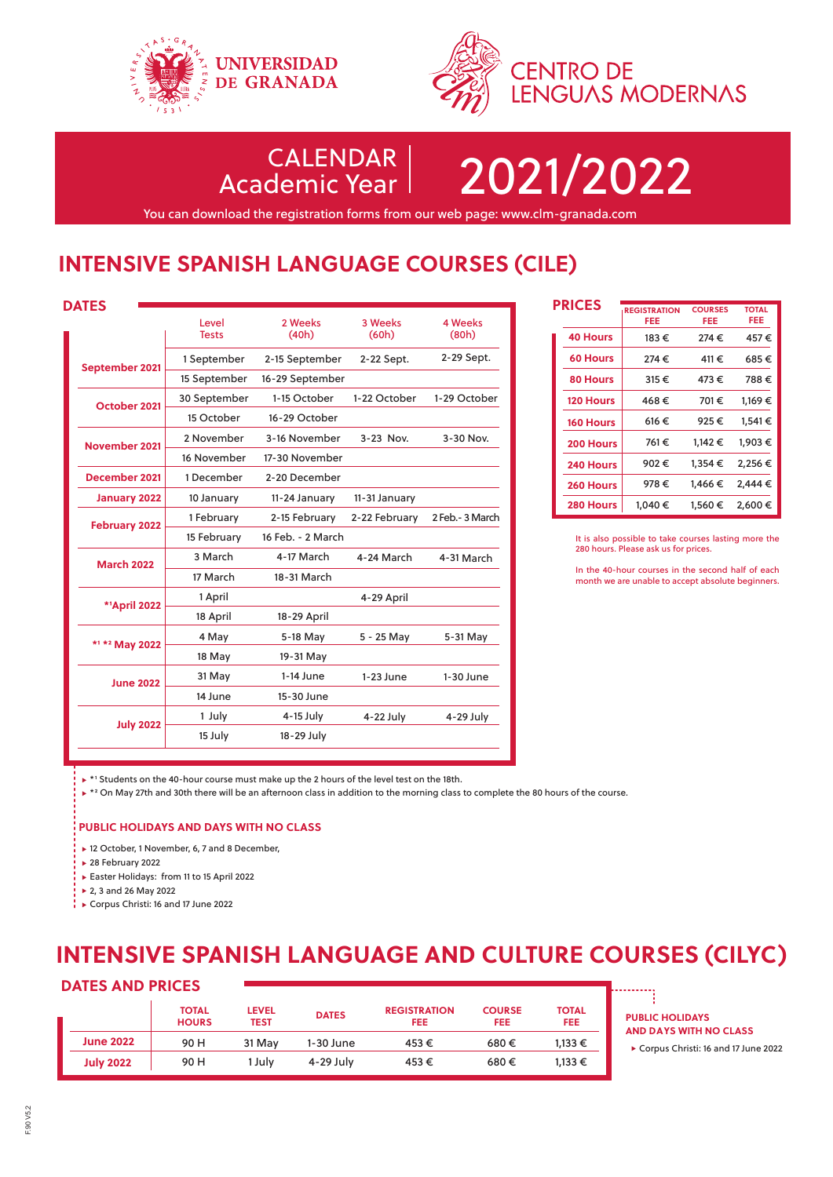



CALENDAR

Academic Year 2021/2022

You can download the registration forms from our web page: www.clm-granada.com

# **INTENSIVE SPANISH LANGUAGE COURSES (CILE)**

| ۰, |  | $\sim$ |
|----|--|--------|

| WIEJ                 |                       |                   |                  |                         |
|----------------------|-----------------------|-------------------|------------------|-------------------------|
|                      | Level<br><b>Tests</b> | 2 Weeks<br>(40h)  | 3 Weeks<br>(60h) | <b>4 Weeks</b><br>(80h) |
|                      | 1 September           | 2-15 September    | 2-22 Sept.       | 2-29 Sept.              |
| September 2021       | 15 September          | 16-29 September   |                  |                         |
| October 2021         | 30 September          | 1-15 October      | 1-22 October     | 1-29 October            |
|                      | 15 October            | 16-29 October     |                  |                         |
| November 2021        | 2 November            | 3-16 November     | 3-23 Nov.        | 3-30 Nov.               |
|                      | 16 November           | 17-30 November    |                  |                         |
| December 2021        | 1 December            | 2-20 December     |                  |                         |
| <b>January 2022</b>  | 10 January            | 11-24 January     | 11-31 January    |                         |
| <b>February 2022</b> | 1 February            | 2-15 February     | 2-22 February    | 2 Feb.- 3 March         |
|                      | 15 February           | 16 Feb. - 2 March |                  |                         |
| <b>March 2022</b>    | 3 March               | 4-17 March        | 4-24 March       | 4-31 March              |
|                      | 17 March              | 18-31 March       |                  |                         |
| <b>*1April 2022</b>  | 1 April               |                   | 4-29 April       |                         |
|                      | 18 April              | 18-29 April       |                  |                         |
| *1 *2 May 2022       | 4 May                 | 5-18 May          | 5 - 25 May       | 5-31 May                |
|                      | 18 May                | 19-31 May         |                  |                         |
| <b>June 2022</b>     | 31 May                | $1-14$ June       | $1-23$ June      | $1-30$ June             |
|                      | 14 June               | 15-30 June        |                  |                         |
|                      | 1 July                | $4-15$ July       | 4-22 July        | 4-29 July               |
| <b>July 2022</b>     | 15 July               | 18-29 July        |                  |                         |

|  | <b>PRICES</b>    | <b>REGISTRATION</b><br>FEE | <b>COURSES</b><br>FEE | <b>TOTAL</b><br>FEE |
|--|------------------|----------------------------|-----------------------|---------------------|
|  | <b>40 Hours</b>  | 183€                       | 274€                  | 457€                |
|  | <b>60 Hours</b>  | 274€                       | 411€                  | 685€                |
|  | 80 Hours         | 315€                       | 473€                  | 788€                |
|  | <b>120 Hours</b> | 468€                       | 701€                  | 1.169€              |
|  | <b>160 Hours</b> | 616€                       | 925€                  | 1.541 €             |
|  | 200 Hours        | 761€                       | 1.142 €               | 1.903€              |
|  | 240 Hours        | 902€                       | 1.354€                | 2,256 €             |
|  | 260 Hours        | 978€                       | 1.466€                | 2.444 €             |
|  | 280 Hours        | 1.040 €                    | 1.560€                | 2.600€              |

It is also possible to take courses lasting more the 280 hours. Please ask us for prices.

In the 40-hour courses in the second half of each month we are unable to accept absolute beginners.

▶ \*1 Students on the 40-hour course must make up the 2 hours of the level test on the 18th.

\* 2 On May 27th and 30th there will be an afternoon class in addition to the morning class to complete the 80 hours of the course.

# **PUBLIC HOLIDAYS AND DAYS WITH NO CLASS**

▶ 12 October, 1 November, 6, 7 and 8 December,

- 28 February 2022
- Easter Holidays: from 11 to 15 April 2022
- ▶ 2, 3 and 26 May 2022

↓ Corpus Christi: 16 and 17 June 2022

# **INTENSIVE SPANISH LANGUAGE AND CULTURE COURSES (CILYC)**

# **DATES AND PRICES**

|                  | <b>TOTAL</b><br><b>HOURS</b> | <b>LEVEL</b><br><b>TEST</b> | <b>DATES</b> | <b>REGISTRATION</b><br><b>FEE</b> | <b>COURSE</b><br>FEE | <b>TOTAL</b><br><b>FEE</b> |
|------------------|------------------------------|-----------------------------|--------------|-----------------------------------|----------------------|----------------------------|
| <b>June 2022</b> | 90 H                         | 31 May                      | 1-30 June    | 453€                              | 680€                 | 1,133 €                    |
| <b>July 2022</b> | 90 H                         | 1 Julv                      | 4-29 July    | 453€                              | 680€                 | 1.133 €                    |

**PUBLIC HOLIDAYS AND DAYS WITH NO CLASS**

Corpus Christi: 16 and 17 June 2022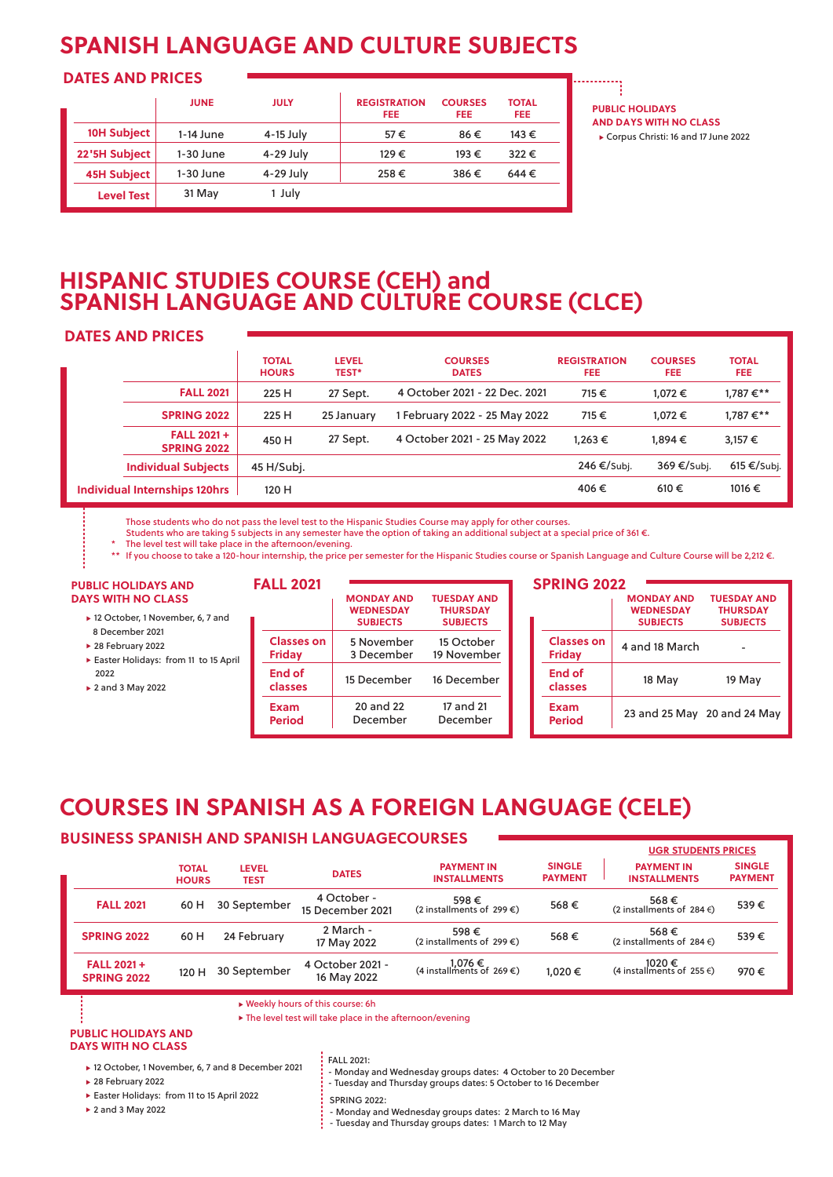# **SPANISH LANGUAGE AND CULTURE SUBJECTS**

# **DATES AND PRICES**

|                    | <b>JUNE</b> | <b>JULY</b> | <b>REGISTRATION</b><br><b>FEE</b> | <b>COURSES</b><br><b>FEE</b> | <b>TOTAL</b><br><b>FEE</b> |
|--------------------|-------------|-------------|-----------------------------------|------------------------------|----------------------------|
| 10H Subject        | $1-14$ June | 4-15 July   | 57€                               | 86€                          | 143 €                      |
| 22'5H Subject      | 1-30 June   | 4-29 July   | 129€                              | 193€                         | 322€                       |
| <b>45H Subject</b> | 1-30 June   | 4-29 July   | 258€                              | 386€                         | 644€                       |
| <b>Level Test</b>  | 31 May      | 1 July      |                                   |                              |                            |

**PUBLIC HOLIDAYS AND DAYS WITH NO CLASS** Corpus Christi: 16 and 17 June 2022

# **HISPANIC STUDIES COURSE (CEH) and SPANISH LANGUAGE AND CULTURE COURSE (CLCE)**

# **DATES AND PRICES**

|                                         | <b>TOTAL</b><br><b>HOURS</b> | <b>LEVEL</b><br><b>TEST*</b> | <b>COURSES</b><br><b>DATES</b> | <b>REGISTRATION</b><br>FEE. | <b>COURSES</b><br>FEE. | <b>TOTAL</b><br>FEE. |
|-----------------------------------------|------------------------------|------------------------------|--------------------------------|-----------------------------|------------------------|----------------------|
| <b>FALL 2021</b>                        | 225 H                        | 27 Sept.                     | 4 October 2021 - 22 Dec. 2021  | 715€                        | 1.072€                 | 1,787 €**            |
| <b>SPRING 2022</b>                      | 225 H                        | 25 January                   | 1 February 2022 - 25 May 2022  | 715€                        | 1.072€                 | 1,787€**             |
| <b>FALL 2021+</b><br><b>SPRING 2022</b> | 450 H                        | 27 Sept.                     | 4 October 2021 - 25 May 2022   | 1.263€                      | 1.894€                 | $3.157 \in$          |
| <b>Individual Subjects</b>              | 45 H/Subj.                   |                              |                                | 246 €/Subj.                 | 369 €/Subj.            | 615 €/Subj.          |
| <b>Individual Internships 120hrs</b>    | 120 H                        |                              |                                | 406€                        | 610€                   | 1016 €               |

Those students who do not pass the level test to the Hispanic Studies Course may apply for other courses.

Students who are taking 5 subjects in any semester have the option of taking an additional subject at a special price of 361 €.

The level test will take place in the afternoon/evening.

\*\* If you choose to take a 120-hour internship, the price per semester for the Hispanic Studies course or Spanish Language and Culture Course will be 2,212 €.

### **PUBLIC HOLIDAYS AND DAYS WITH NO CLASS**

- ▶ 12 October, 1 November, 6, 7 and 8 December 2021
- ▶ 28 February 2022
- Easter Holidays: from 11 to 15 April 2022
- 2 and 3 May 2022

| <b>FALL 2021</b>                   |                                                          |                                                          |
|------------------------------------|----------------------------------------------------------|----------------------------------------------------------|
|                                    | <b>MONDAY AND</b><br><b>WEDNESDAY</b><br><b>SUBJECTS</b> | <b>TUESDAY AND</b><br><b>THURSDAY</b><br><b>SUBJECTS</b> |
| <b>Classes on</b><br><b>Friday</b> | 5 November<br>3 December                                 | 15 October<br>19 November                                |
| End of<br>classes                  | 15 December                                              | 16 December                                              |
| Exam<br><b>Period</b>              | 20 and 22<br>December                                    | 17 and 21<br>December                                    |

# **SPRING 2022**

|                                    | <b>MONDAY AND</b>           | <b>TUESDAY AND</b> |
|------------------------------------|-----------------------------|--------------------|
|                                    | <b>WEDNESDAY</b>            | <b>THURSDAY</b>    |
|                                    | <b>SUBJECTS</b>             | <b>SUBJECTS</b>    |
| <b>Classes on</b><br><b>Friday</b> | 4 and 18 March              |                    |
| End of<br>classes                  | 18 May                      | 19 May             |
| Exam<br>Period                     | 23 and 25 May 20 and 24 May |                    |

# **COURSES IN SPANISH AS A FOREIGN LANGUAGE (CELE)**

# **BUSINESS SPANISH AND SPANISH LANGUAGECOURSES**

|                                         |                              |                      |                                 |                                             |                                 | <b>UGR STUDENTS PRICES</b>               |                                 |
|-----------------------------------------|------------------------------|----------------------|---------------------------------|---------------------------------------------|---------------------------------|------------------------------------------|---------------------------------|
|                                         | <b>TOTAL</b><br><b>HOURS</b> | <b>LEVEL</b><br>TEST | <b>DATES</b>                    | <b>PAYMENT IN</b><br><b>INSTALLMENTS</b>    | <b>SINGLE</b><br><b>PAYMENT</b> | <b>PAYMENT IN</b><br><b>INSTALLMENTS</b> | <b>SINGLE</b><br><b>PAYMENT</b> |
| <b>FALL 2021</b>                        | 60 H                         | 30 September         | 4 October -<br>15 December 2021 | 598€<br>(2 installments of 299 $\epsilon$ ) | 568€                            | 568€<br>(2 installments of $284 \in$ )   | 539€                            |
| <b>SPRING 2022</b>                      | 60 H                         | 24 February          | 2 March -<br>17 May 2022        | 598€<br>(2 installments of 299 $\epsilon$ ) | 568€                            | 568€<br>(2 installments of 284 $\in$ )   | 539€                            |
| <b>FALL 2021+</b><br><b>SPRING 2022</b> | 120 H                        | 30 September         | 4 October 2021 -<br>16 May 2022 | $1,076 \in$ (4 installments of 269 €)       | 1.020€                          | (4 installments of 255 €)                | 970€                            |

Weekly hours of this course: 6h

The level test will take place in the afternoon/evening

### **PUBLIC HOLIDAYS AND DAYS WITH NO CLASS**

▶ 12 October, 1 November, 6, 7 and 8 December 2021

▶ 28 February 2022

- Easter Holidays: from 11 to 15 April 2022
- 2 and 3 May 2022

FALL 2021:

- Monday and Wednesday groups dates: 4 October to 20 December
- Tuesday and Thursday groups dates: 5 October to 16 December
- **SPRING 2022:**
- Monday and Wednesday groups dates: 2 March to 16 May
- Tuesday and Thursday groups dates: 1 March to 12 May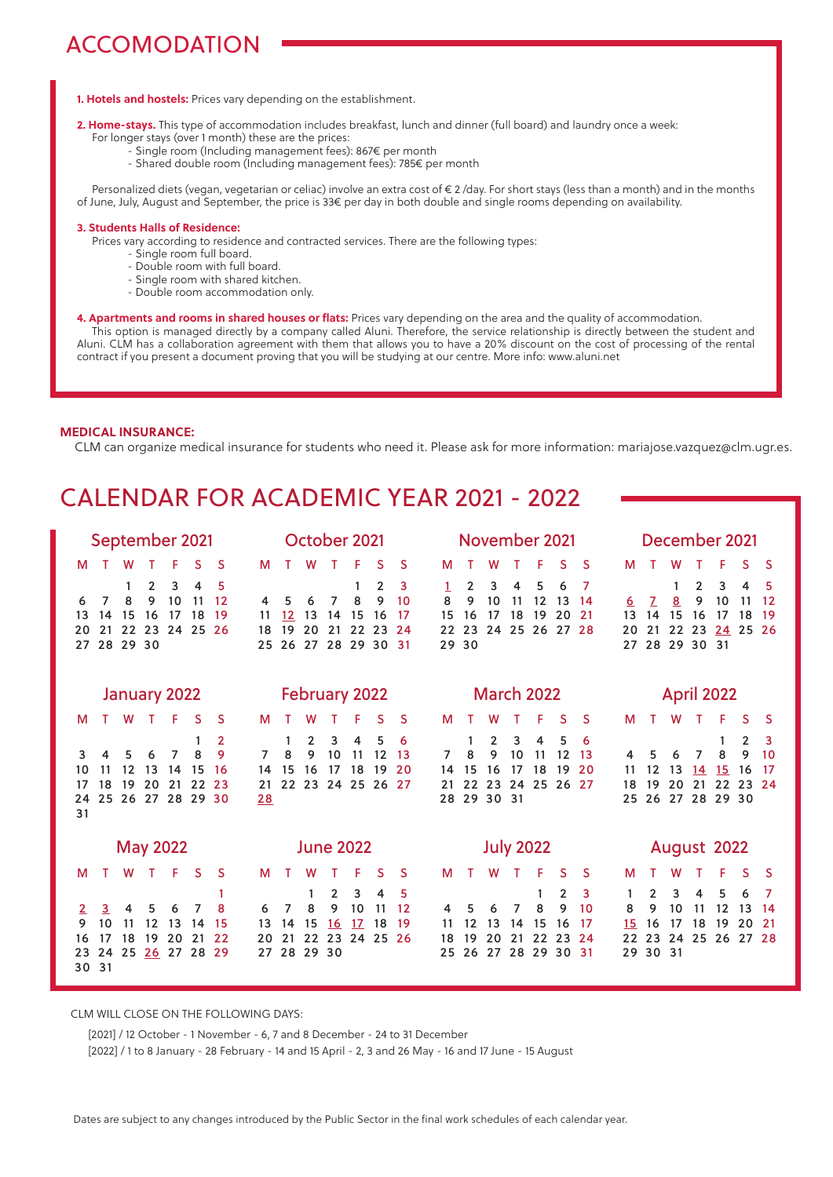# ACCOMODATION

# **1. Hotels and hostels:** Prices vary depending on the establishment.

- **2. Home-stays.** This type of accommodation includes breakfast, lunch and dinner (full board) and laundry once a week:
	- For longer stays (over 1 month) these are the prices:
		- Single room (Including management fees): 867€ per month
		- Shared double room (Including management fees): 785€ per month

 Personalized diets (vegan, vegetarian or celiac) involve an extra cost of € 2 /day. For short stays (less than a month) and in the months of June, July, August and September, the price is 33€ per day in both double and single rooms depending on availability.

## **. Students Halls of Residence:**

Prices vary according to residence and contracted services. There are the following types:

- Single room full board.
- Double room with full board.
- Single room with shared kitchen.
- Double room accommodation only.
- **4. Apartments and rooms in shared houses or flats:** Prices vary depending on the area and the quality of accommodation. This option is managed directly by a company called Aluni. Therefore, the service relationship is directly between the student and Aluni. CLM has a collaboration agreement with them that allows you to have a 20% discount on the cost of processing of the rental contract if you present a document proving that you will be studying at our centre. More info: www.aluni.net

# **MEDICAL INSURANCE:**

CLM can organize medical insurance for students who need it. Please ask for more information: mariajose.vazquez@clm.ugr.es.

# CALENDAR FOR ACADEMIC YEAR 2021 - 2022

| September 2021                                                                                                                                                           | October 2021                                                                                                                                                                       | November 2021                                                                                                                                                                       | December 2021                                                                                                                                                                |
|--------------------------------------------------------------------------------------------------------------------------------------------------------------------------|------------------------------------------------------------------------------------------------------------------------------------------------------------------------------------|-------------------------------------------------------------------------------------------------------------------------------------------------------------------------------------|------------------------------------------------------------------------------------------------------------------------------------------------------------------------------|
| S.<br>F<br><sub>S</sub><br>м<br>w                                                                                                                                        | F<br>S.<br>S<br>М<br>W                                                                                                                                                             | S<br>F<br>S<br>M                                                                                                                                                                    | S<br>F<br>м<br>W<br><sub>S</sub>                                                                                                                                             |
| 3<br>$\overline{2}$<br>4<br>1<br>5<br>9<br>10<br>8<br>11<br>12<br>7<br>6<br>15<br>17<br>18<br>19<br>13<br>14<br>16<br>21 22<br>23<br>24 25<br>26<br>20<br>28 29 30<br>27 | $\overline{2}$<br>3<br>1<br>9<br>8<br>10<br>7<br>6<br>4<br>15<br>$12 \overline{ }$<br>13<br>14<br>16<br>17<br>11<br>20<br>19<br>21<br>22<br>23<br>24<br>18<br>25 26 27 28 29 30 31 | $\overline{2}$<br>3<br>4<br>5<br>6<br>7<br>$\mathbf{1}$<br>8<br>9<br>10<br>12<br>11<br>13<br>14<br>19<br>20<br>15<br>16<br>18<br>21<br>17<br>24 25 26 27<br>22<br>23<br>28<br>29 30 | $\overline{2}$<br>3<br>1<br>4<br>5<br>9<br>10<br>11<br>12<br><u>8</u><br>7<br>6<br>14<br>15<br>16<br>13<br>17<br>18<br>19<br>22 23<br>24 25 26<br>21<br>20<br>27 28 29 30 31 |
| January 2022                                                                                                                                                             | <b>February 2022</b>                                                                                                                                                               | <b>March 2022</b>                                                                                                                                                                   | <b>April 2022</b>                                                                                                                                                            |
| F<br><sub>S</sub><br>W<br>т<br>-S<br>м                                                                                                                                   | F<br>S<br>S<br>М                                                                                                                                                                   | F<br>S<br><b>S</b><br>M<br>w                                                                                                                                                        | F<br>S.<br>м<br>W<br>$\top$<br>-S                                                                                                                                            |
| $\overline{2}$<br>1<br>8<br>9<br>7<br>5<br>6<br>3<br>12<br>13<br>14<br>15<br>16<br>10<br>11<br>19 20 21 22<br>18<br>23<br>17<br>25 26 27 28 29 30<br>24<br>31            | $\overline{2}$<br>3<br>5<br>1<br>4<br>6<br>9<br>10<br>8<br>12<br>11<br>13<br>7<br>15<br>16<br>17<br>18<br>20<br>19<br>14<br>22 23 24 25 26 27<br>21<br>28                          | 3<br>5<br>2<br>4<br>6<br>1<br>8<br>9<br>10<br>11<br>12<br>7<br>13<br>19<br>15<br>16<br>18<br>20<br>14<br>17<br>22<br>23 24 25 26<br>27<br>21<br>28 29 30 31                         | 2<br>3<br>8<br>9<br>10<br>7<br>5<br>6<br>4<br>12<br>13<br>14<br>15<br>11<br>16<br>-17<br>22<br>19<br>20<br>21<br>23 24<br>18<br>26 27 28 29 30<br>25                         |
| <b>May 2022</b>                                                                                                                                                          | <b>June 2022</b>                                                                                                                                                                   | <b>July 2022</b>                                                                                                                                                                    | August 2022                                                                                                                                                                  |
| F<br>S<br>W<br><sub>S</sub><br>м                                                                                                                                         | S<br>S<br>М<br>w                                                                                                                                                                   | F<br>S.<br>S<br>M<br>w                                                                                                                                                              | F<br>S<br>-S<br>м<br>w                                                                                                                                                       |
| 1<br>8<br>7<br>6<br>3<br>4<br>5<br>2.<br>9<br>10<br>11<br>12<br>13<br>15<br>14<br>21<br>18<br>19 20<br>22<br>17<br>16<br>25<br>26 27 28 29<br>24<br>23<br>31<br>30       | $\overline{2}$<br>3<br>4<br>5<br>1<br>10<br>8<br>9<br>11<br>12<br>7<br>6<br>17 <sup>2</sup><br>15<br>16<br>18<br>19<br>14<br>13<br>21<br>22 23 24 25 26<br>20<br>28 29 30<br>27    | $\overline{2}$<br>3<br>1<br>8<br>9<br>10<br>7<br>6<br>4<br>5<br>15<br>14<br>16<br>17<br>12<br>13<br>11<br>19<br>20<br>21<br>22<br>23<br>18<br>24<br>26<br>27 28 29 30 31<br>25      | 5<br>3<br>$\mathbf{2}^{\prime}$<br>4<br>6<br>7<br>1<br>12<br>9<br>10<br>11<br>13<br>8<br>14<br>18<br>19<br>20<br>-21<br>16<br>17<br>15<br>22 23 24 25 26 27 28<br>29 30 31   |

CLM WILL CLOSE ON THE FOLLOWING DAYS:

[2021] / 12 October - 1 November - 6, 7 and 8 December - 24 to 31 December

[2022] / 1 to 8 January - 28 February - 14 and 15 April - 2, 3 and 26 May - 16 and 17 June - 15 August